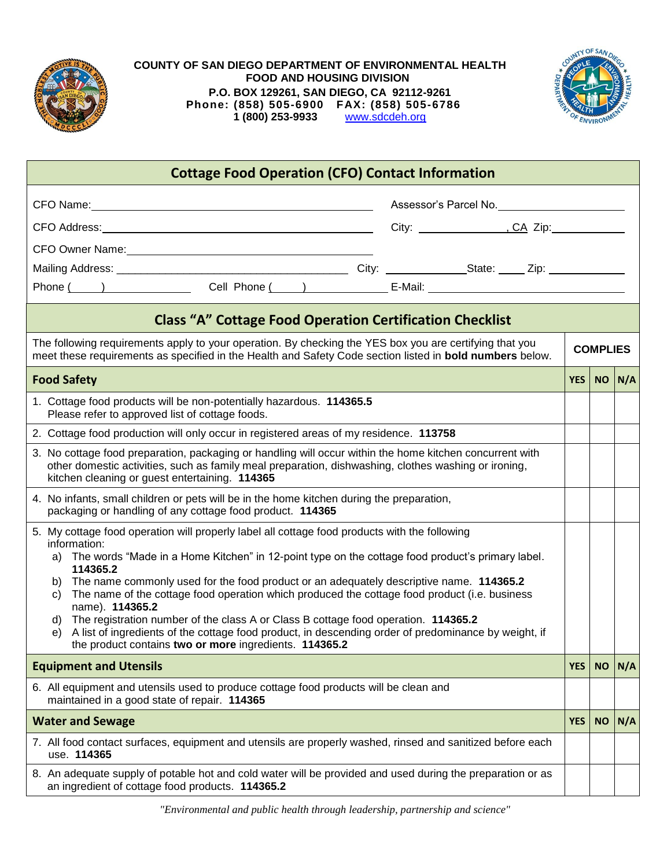

## **COUNTY OF SAN DIEGO DEPARTMENT OF ENVIRONMENTAL HEALTH FOOD AND HOUSING DIVISION P.O. BOX 129261, SAN DIEGO, CA 92112-9261** Phone: (858) 505-6900 FAX: (858) 505-6786<br>1 (800) 253-9933 www.sdcdeh.org  **1 (800) 253-9933** [www.sdcdeh.org](http://www.sdcdeh.org/)



| <b>Cottage Food Operation (CFO) Contact Information</b>                                                                                                                                                                                                                                                                                                                                                                                                                                                                                                                                                                                                                                                                            |            |                 |               |  |
|------------------------------------------------------------------------------------------------------------------------------------------------------------------------------------------------------------------------------------------------------------------------------------------------------------------------------------------------------------------------------------------------------------------------------------------------------------------------------------------------------------------------------------------------------------------------------------------------------------------------------------------------------------------------------------------------------------------------------------|------------|-----------------|---------------|--|
| CFO Name: <u>contract and a series of the series of the series of the series of the series of the series of the series of the series of the series of the series of the series of the series of the series of the series of the </u>                                                                                                                                                                                                                                                                                                                                                                                                                                                                                               |            |                 |               |  |
|                                                                                                                                                                                                                                                                                                                                                                                                                                                                                                                                                                                                                                                                                                                                    |            |                 |               |  |
|                                                                                                                                                                                                                                                                                                                                                                                                                                                                                                                                                                                                                                                                                                                                    |            |                 |               |  |
|                                                                                                                                                                                                                                                                                                                                                                                                                                                                                                                                                                                                                                                                                                                                    |            |                 |               |  |
|                                                                                                                                                                                                                                                                                                                                                                                                                                                                                                                                                                                                                                                                                                                                    |            |                 |               |  |
| <b>Class "A" Cottage Food Operation Certification Checklist</b>                                                                                                                                                                                                                                                                                                                                                                                                                                                                                                                                                                                                                                                                    |            |                 |               |  |
| The following requirements apply to your operation. By checking the YES box you are certifying that you<br>meet these requirements as specified in the Health and Safety Code section listed in <b>bold numbers</b> below.                                                                                                                                                                                                                                                                                                                                                                                                                                                                                                         |            | <b>COMPLIES</b> |               |  |
| <b>Food Safety</b>                                                                                                                                                                                                                                                                                                                                                                                                                                                                                                                                                                                                                                                                                                                 | <b>YES</b> |                 | $NO \mid N/A$ |  |
| 1. Cottage food products will be non-potentially hazardous. 114365.5<br>Please refer to approved list of cottage foods.                                                                                                                                                                                                                                                                                                                                                                                                                                                                                                                                                                                                            |            |                 |               |  |
| 2. Cottage food production will only occur in registered areas of my residence. 113758                                                                                                                                                                                                                                                                                                                                                                                                                                                                                                                                                                                                                                             |            |                 |               |  |
| 3. No cottage food preparation, packaging or handling will occur within the home kitchen concurrent with<br>other domestic activities, such as family meal preparation, dishwashing, clothes washing or ironing,<br>kitchen cleaning or guest entertaining. 114365                                                                                                                                                                                                                                                                                                                                                                                                                                                                 |            |                 |               |  |
| 4. No infants, small children or pets will be in the home kitchen during the preparation,<br>packaging or handling of any cottage food product. 114365                                                                                                                                                                                                                                                                                                                                                                                                                                                                                                                                                                             |            |                 |               |  |
| 5. My cottage food operation will properly label all cottage food products with the following<br>information:<br>The words "Made in a Home Kitchen" in 12-point type on the cottage food product's primary label.<br>a)<br>114365.2<br>The name commonly used for the food product or an adequately descriptive name. 114365.2<br>b)<br>The name of the cottage food operation which produced the cottage food product (i.e. business<br>C)<br>name). 114365.2<br>The registration number of the class A or Class B cottage food operation. 114365.2<br>d)<br>A list of ingredients of the cottage food product, in descending order of predominance by weight, if<br>e)<br>the product contains two or more ingredients. 114365.2 |            |                 |               |  |
| <b>Equipment and Utensils</b>                                                                                                                                                                                                                                                                                                                                                                                                                                                                                                                                                                                                                                                                                                      | <b>YES</b> | <b>NO</b>       | N/A           |  |
| 6. All equipment and utensils used to produce cottage food products will be clean and<br>maintained in a good state of repair. 114365                                                                                                                                                                                                                                                                                                                                                                                                                                                                                                                                                                                              |            |                 |               |  |
| <b>Water and Sewage</b>                                                                                                                                                                                                                                                                                                                                                                                                                                                                                                                                                                                                                                                                                                            | <b>YES</b> | <b>NO</b>       | N/A           |  |
| 7. All food contact surfaces, equipment and utensils are properly washed, rinsed and sanitized before each<br>use. 114365                                                                                                                                                                                                                                                                                                                                                                                                                                                                                                                                                                                                          |            |                 |               |  |
| 8. An adequate supply of potable hot and cold water will be provided and used during the preparation or as<br>an ingredient of cottage food products. 114365.2                                                                                                                                                                                                                                                                                                                                                                                                                                                                                                                                                                     |            |                 |               |  |

*"Environmental and public health through leadership, partnership and science"*